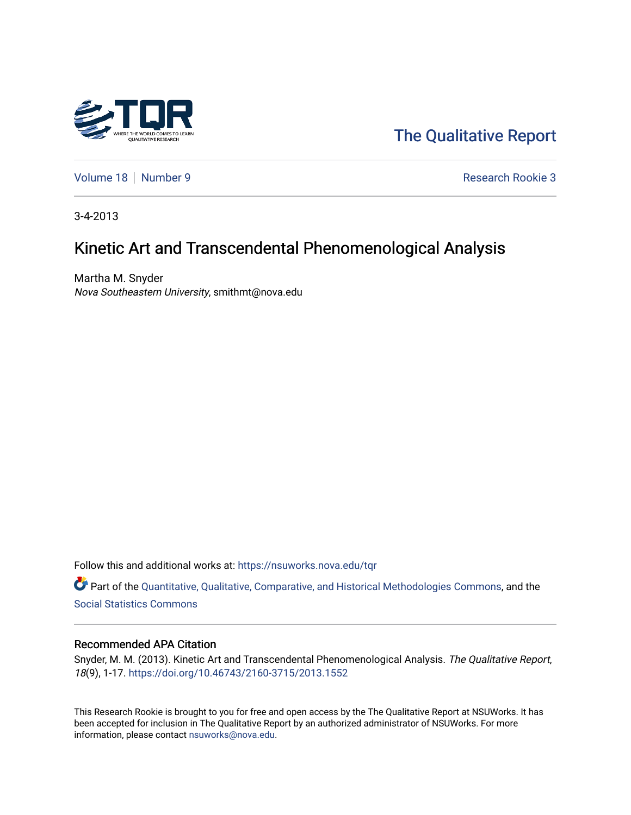

[The Qualitative Report](https://nsuworks.nova.edu/tqr) 

[Volume 18](https://nsuworks.nova.edu/tqr/vol18) [Number 9](https://nsuworks.nova.edu/tqr/vol18/iss9) **Research Rookie 3** 

3-4-2013

# Kinetic Art and Transcendental Phenomenological Analysis

Martha M. Snyder Nova Southeastern University, smithmt@nova.edu

Follow this and additional works at: [https://nsuworks.nova.edu/tqr](https://nsuworks.nova.edu/tqr?utm_source=nsuworks.nova.edu%2Ftqr%2Fvol18%2Fiss9%2F3&utm_medium=PDF&utm_campaign=PDFCoverPages) 

Part of the [Quantitative, Qualitative, Comparative, and Historical Methodologies Commons,](http://network.bepress.com/hgg/discipline/423?utm_source=nsuworks.nova.edu%2Ftqr%2Fvol18%2Fiss9%2F3&utm_medium=PDF&utm_campaign=PDFCoverPages) and the [Social Statistics Commons](http://network.bepress.com/hgg/discipline/1275?utm_source=nsuworks.nova.edu%2Ftqr%2Fvol18%2Fiss9%2F3&utm_medium=PDF&utm_campaign=PDFCoverPages) 

#### Recommended APA Citation

Snyder, M. M. (2013). Kinetic Art and Transcendental Phenomenological Analysis. The Qualitative Report, 18(9), 1-17. <https://doi.org/10.46743/2160-3715/2013.1552>

This Research Rookie is brought to you for free and open access by the The Qualitative Report at NSUWorks. It has been accepted for inclusion in The Qualitative Report by an authorized administrator of NSUWorks. For more information, please contact [nsuworks@nova.edu.](mailto:nsuworks@nova.edu)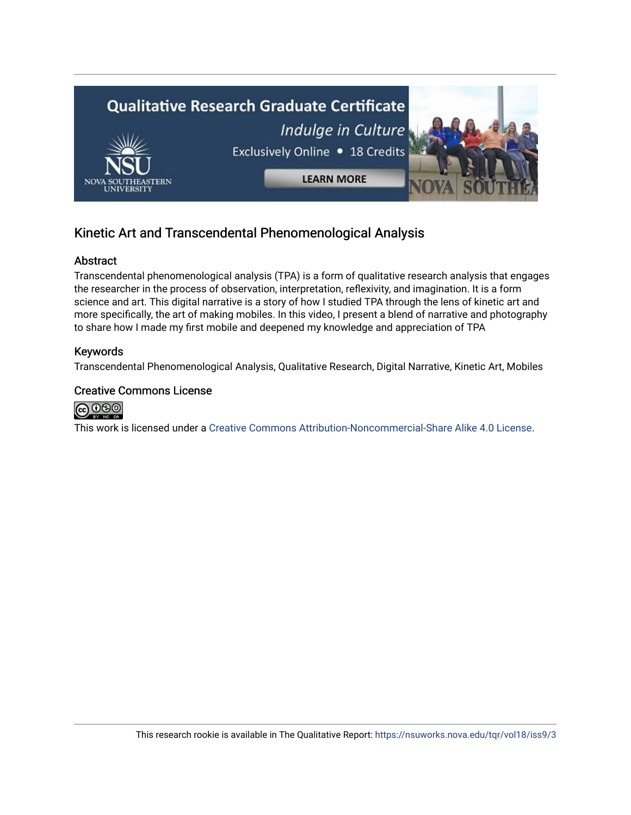

## Kinetic Art and Transcendental Phenomenological Analysis

#### Abstract

Transcendental phenomenological analysis (TPA) is a form of qualitative research analysis that engages the researcher in the process of observation, interpretation, reflexivity, and imagination. It is a form science and art. This digital narrative is a story of how I studied TPA through the lens of kinetic art and more specifically, the art of making mobiles. In this video, I present a blend of narrative and photography to share how I made my first mobile and deepened my knowledge and appreciation of TPA

#### Keywords

Transcendental Phenomenological Analysis, Qualitative Research, Digital Narrative, Kinetic Art, Mobiles

#### Creative Commons License



This work is licensed under a [Creative Commons Attribution-Noncommercial-Share Alike 4.0 License](https://creativecommons.org/licenses/by-nc-sa/4.0/).